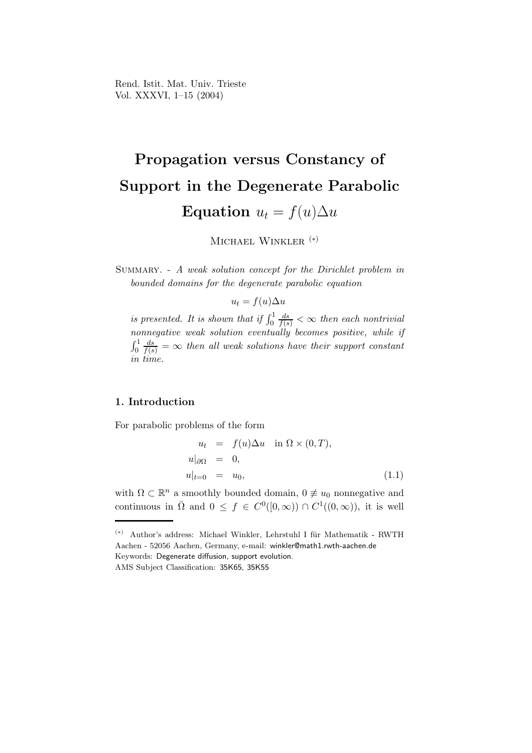Rend. Istit. Mat. Univ. Trieste Vol. XXXVI, 1–15 (2004)

# Propagation versus Constancy of Support in the Degenerate Parabolic Equation  $u_t = f(u)\Delta u$

MICHAEL WINKLER<sup>(\*)</sup>

Summary. - A weak solution concept for the Dirichlet problem in bounded domains for the degenerate parabolic equation

$$
u_t = f(u)\Delta u
$$

is presented. It is shown that if  $\int_0^1$  $\frac{ds}{f(s)} < \infty$  then each nontrivial nonnegative weak solution eventually becomes positive, while if  $\int_0^1$  $\frac{ds}{f(s)} = \infty$  then all weak solutions have their support constant in time.

### 1. Introduction

For parabolic problems of the form

$$
u_t = f(u)\Delta u \quad \text{in } \Omega \times (0, T),
$$
  
\n
$$
u|_{\partial\Omega} = 0,
$$
  
\n
$$
u|_{t=0} = u_0,
$$
\n(1.1)

with  $\Omega \subset \mathbb{R}^n$  a smoothly bounded domain,  $0 \neq u_0$  nonnegative and continuous in  $\overline{\Omega}$  and  $0 \leq f \in C^{0}([0,\infty)) \cap C^{1}((0,\infty))$ , it is well

<sup>(\*)</sup> Author's address: Michael Winkler, Lehrstuhl I für Mathematik - RWTH Aachen - 52056 Aachen, Germany, e-mail: winkler@math1.rwth-aachen.de Keywords: Degenerate diffusion, support evolution.

AMS Subject Classification: 35K65, 35K55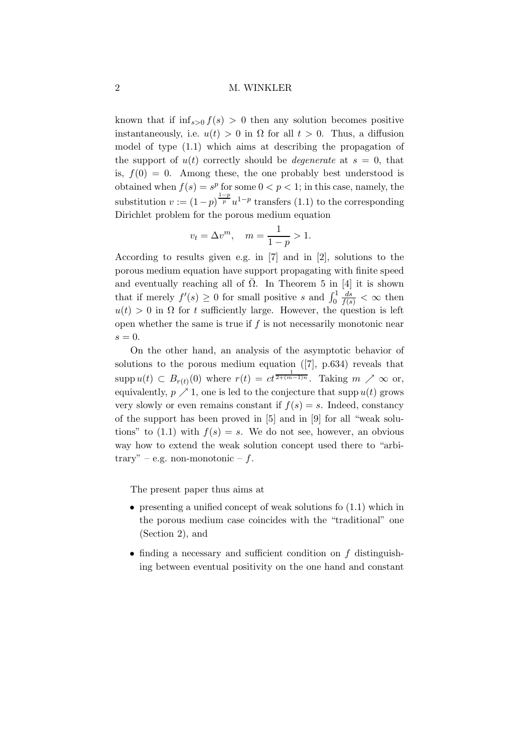known that if  $\inf_{s>0} f(s) > 0$  then any solution becomes positive instantaneously, i.e.  $u(t) > 0$  in  $\Omega$  for all  $t > 0$ . Thus, a diffusion model of type (1.1) which aims at describing the propagation of the support of  $u(t)$  correctly should be *degenerate* at  $s = 0$ , that is,  $f(0) = 0$ . Among these, the one probably best understood is obtained when  $f(s) = s^p$  for some  $0 < p < 1$ ; in this case, namely, the substitution  $v := (1-p)^{\frac{1-p}{p}} u^{1-p}$  transfers (1.1) to the corresponding Dirichlet problem for the porous medium equation

$$
v_t = \Delta v^m
$$
,  $m = \frac{1}{1-p} > 1$ .

According to results given e.g. in [7] and in [2], solutions to the porous medium equation have support propagating with finite speed and eventually reaching all of  $\overline{\Omega}$ . In Theorem 5 in [4] it is shown that if merely  $f'(s) \geq 0$  for small positive s and  $\int_0^1$  $\frac{ds}{f(s)} < \infty$  then  $u(t) > 0$  in  $\Omega$  for t sufficiently large. However, the question is left open whether the same is true if  $f$  is not necessarily monotonic near  $s = 0$ .

On the other hand, an analysis of the asymptotic behavior of solutions to the porous medium equation ([7], p.634) reveals that supp  $u(t) \subset B_{r(t)}(0)$  where  $r(t) = ct^{\frac{1}{2+(m-1)n}}$ . Taking  $m \nearrow \infty$  or, equivalently,  $p \nearrow 1$ , one is led to the conjecture that supp  $u(t)$  grows very slowly or even remains constant if  $f(s) = s$ . Indeed, constancy of the support has been proved in [5] and in [9] for all "weak solutions" to  $(1.1)$  with  $f(s) = s$ . We do not see, however, an obvious way how to extend the weak solution concept used there to "arbitrary" – e.g. non-monotonic –  $f$ .

The present paper thus aims at

- presenting a unified concept of weak solutions fo  $(1.1)$  which in the porous medium case coincides with the "traditional" one (Section 2), and
- finding a necessary and sufficient condition on f distinguishing between eventual positivity on the one hand and constant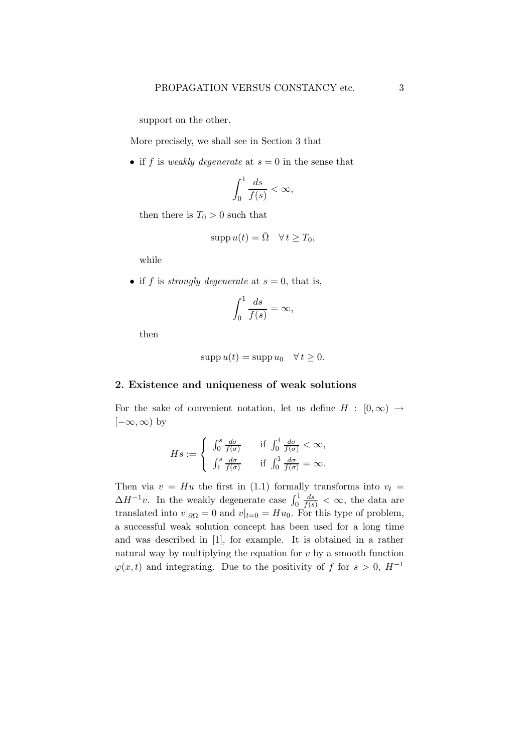support on the other.

More precisely, we shall see in Section 3 that

• if f is weakly degenerate at  $s = 0$  in the sense that

$$
\int_0^1 \frac{ds}{f(s)} < \infty,
$$

then there is  $T_0 > 0$  such that

$$
\operatorname{supp} u(t) = \overline{\Omega} \quad \forall \, t \ge T_0,
$$

while

• if f is *strongly degenerate* at  $s = 0$ , that is,

$$
\int_0^1 \frac{ds}{f(s)} = \infty,
$$

then

$$
supp u(t) = supp u_0 \quad \forall t \ge 0.
$$

#### 2. Existence and uniqueness of weak solutions

For the sake of convenient notation, let us define  $H : [0, \infty) \rightarrow$  $[-\infty,\infty)$  by

$$
Hs := \begin{cases} \n\int_0^s \frac{d\sigma}{f(\sigma)} & \text{if } \int_0^1 \frac{d\sigma}{f(\sigma)} < \infty, \\ \n\int_1^s \frac{d\sigma}{f(\sigma)} & \text{if } \int_0^1 \frac{d\sigma}{f(\sigma)} = \infty. \n\end{cases}
$$

Then via  $v = Hu$  the first in (1.1) formally transforms into  $v_t =$  $\Delta H^{-1}v$ . In the weakly degenerate case  $\int_0^1$  $\frac{ds}{f(s)} < \infty$ , the data are translated into  $v|_{\partial\Omega} = 0$  and  $v|_{t=0} = Hu_0$ . For this type of problem, a successful weak solution concept has been used for a long time and was described in [1], for example. It is obtained in a rather natural way by multiplying the equation for  $v$  by a smooth function  $\varphi(x,t)$  and integrating. Due to the positivity of f for  $s > 0$ ,  $H^{-1}$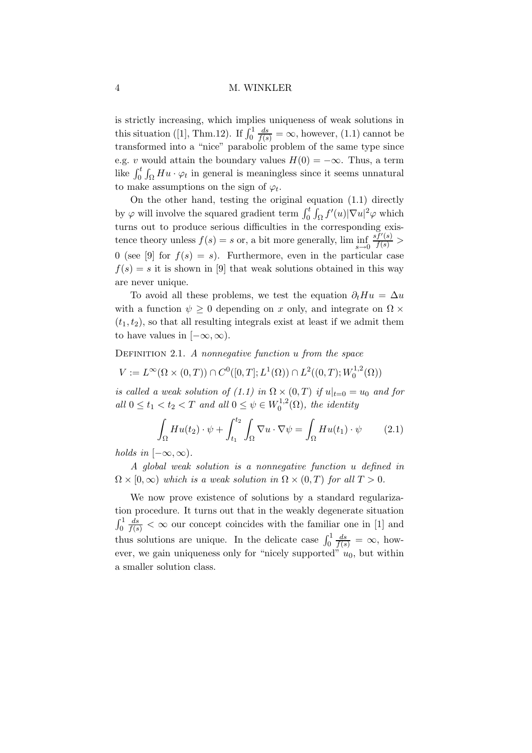is strictly increasing, which implies uniqueness of weak solutions in this situation ([1], Thm.12). If  $\int_0^1$  $\frac{ds}{f(s)} = \infty$ , however, (1.1) cannot be transformed into a "nice" parabolic problem of the same type since e.g. v would attain the boundary values  $H(0) = -\infty$ . Thus, a term like  $\int_0^t \int_{\Omega} Hu \cdot \varphi_t$  in general is meaningless since it seems unnatural to make assumptions on the sign of  $\varphi_t$ .

On the other hand, testing the original equation (1.1) directly by  $\varphi$  will involve the squared gradient term  $\int_0^t \int_{\Omega} f'(u) |\nabla u|^2 \varphi$  which turns out to produce serious difficulties in the corresponding existence theory unless  $f(s) = s$  or, a bit more generally,  $\liminf_{s \to 0}$  $\frac{\overrightarrow{s}f'(s)}{f(s)}$  > 0 (see [9] for  $f(s) = s$ ). Furthermore, even in the particular case  $f(s) = s$  it is shown in [9] that weak solutions obtained in this way are never unique.

To avoid all these problems, we test the equation  $\partial_t H u = \Delta u$ with a function  $\psi \geq 0$  depending on x only, and integrate on  $\Omega \times$  $(t_1,t_2)$ , so that all resulting integrals exist at least if we admit them to have values in  $[-\infty, \infty)$ .

DEFINITION 2.1. A nonnegative function  $u$  from the space

$$
V := L^{\infty}(\Omega \times (0,T)) \cap C^{0}([0,T];L^{1}(\Omega)) \cap L^{2}((0,T);W_{0}^{1,2}(\Omega))
$$

is called a weak solution of (1.1) in  $\Omega \times (0,T)$  if  $u|_{t=0} = u_0$  and for all  $0 \le t_1 < t_2 < T$  and all  $0 \le \psi \in W_0^{1,2}$  $\mathcal{O}_0^{1,2}(\Omega)$ , the identity

$$
\int_{\Omega} H u(t_2) \cdot \psi + \int_{t_1}^{t_2} \int_{\Omega} \nabla u \cdot \nabla \psi = \int_{\Omega} H u(t_1) \cdot \psi \qquad (2.1)
$$

holds in  $[-\infty,\infty)$ .

A global weak solution is a nonnegative function u defined in  $\Omega \times [0,\infty)$  which is a weak solution in  $\Omega \times (0,T)$  for all  $T > 0$ .

We now prove existence of solutions by a standard regularization procedure. It turns out that in the weakly degenerate situation  $\int_0^1$  $\frac{ds}{f(s)} < \infty$  our concept coincides with the familiar one in [1] and thus solutions are unique. In the delicate case  $\int_0^1$  $\frac{ds}{f(s)} = \infty$ , however, we gain uniqueness only for "nicely supported"  $u_0$ , but within a smaller solution class.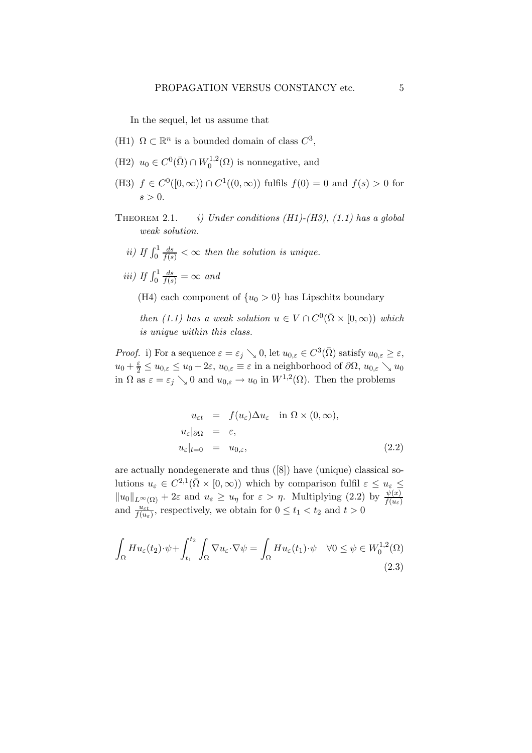In the sequel, let us assume that

- (H1)  $\Omega \subset \mathbb{R}^n$  is a bounded domain of class  $C^3$ ,
- (H2)  $u_0 \in C^0(\overline{\Omega}) \cap W_0^{1,2}$  $\binom{1,2}{0}$  is nonnegative, and
- (H3)  $f \in C^{0}([0,\infty)) \cap C^{1}((0,\infty))$  fulfils  $f(0) = 0$  and  $f(s) > 0$  for  $s > 0$ .
- THEOREM 2.1. *i)* Under conditions  $(H1)-(H3)$ ,  $(1.1)$  has a global weak solution.
	- ii) If  $\int_0^1$  $\frac{ds}{f(s)} < \infty$  then the solution is unique.
	- iii) If  $\int_0^1$  $\frac{ds}{f(s)} = \infty$  and
		- (H4) each component of  $\{u_0 > 0\}$  has Lipschitz boundary

then (1.1) has a weak solution  $u \in V \cap C^{0}(\overline{\Omega} \times [0, \infty))$  which is unique within this class.

*Proof.* i) For a sequence  $\varepsilon = \varepsilon_j \searrow 0$ , let  $u_{0,\varepsilon} \in C^3(\overline{\Omega})$  satisfy  $u_{0,\varepsilon} \ge \varepsilon$ ,  $u_0 + \frac{\varepsilon}{2} \leq u_{0,\varepsilon} \leq u_0 + 2\varepsilon$ ,  $u_{0,\varepsilon} \equiv \varepsilon$  in a neighborhood of  $\partial\Omega$ ,  $u_{0,\varepsilon} \searrow u_0$ in  $\Omega$  as  $\varepsilon = \varepsilon_j \searrow 0$  and  $u_{0,\varepsilon} \to u_0$  in  $W^{1,2}(\Omega)$ . Then the problems

$$
u_{\varepsilon t} = f(u_{\varepsilon}) \Delta u_{\varepsilon} \quad \text{in } \Omega \times (0, \infty),
$$
  
\n
$$
u_{\varepsilon}|_{\partial \Omega} = \varepsilon,
$$
  
\n
$$
u_{\varepsilon}|_{t=0} = u_{0,\varepsilon},
$$
  
\n(2.2)

are actually nondegenerate and thus ([8]) have (unique) classical solutions  $u_{\varepsilon} \in C^{2,1}(\bar{\Omega} \times [0,\infty))$  which by comparison fulfil  $\varepsilon \leq u_{\varepsilon} \leq$  $||u_0||_{L^{\infty}(\Omega)} + 2\varepsilon$  and  $u_{\varepsilon} \ge u_{\eta}$  for  $\varepsilon > \eta$ . Multiplying (2.2) by  $\frac{\psi(x)}{f(u_{\varepsilon})}$  and  $\frac{u_{\varepsilon t}}{f(u_{\varepsilon})}$ , respectively, we obtain for  $0 \le t_1 < t_2$  and  $t > 0$ 

$$
\int_{\Omega} H u_{\varepsilon}(t_2) \cdot \psi + \int_{t_1}^{t_2} \int_{\Omega} \nabla u_{\varepsilon} \cdot \nabla \psi = \int_{\Omega} H u_{\varepsilon}(t_1) \cdot \psi \quad \forall 0 \le \psi \in W_0^{1,2}(\Omega)
$$
\n(2.3)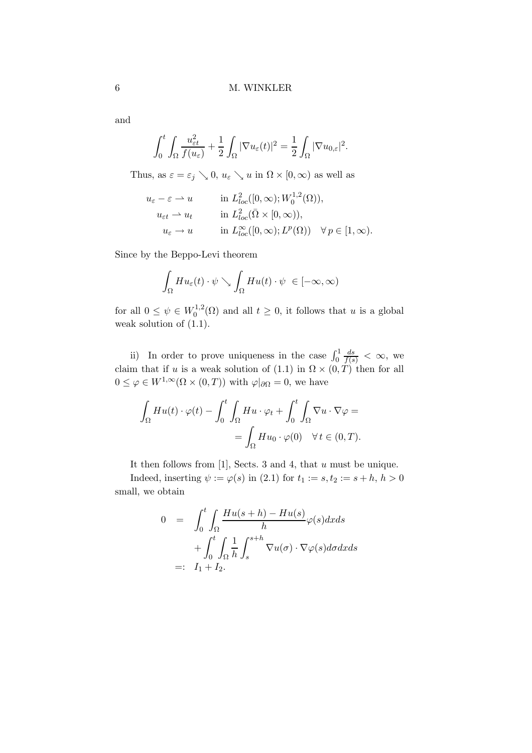and

$$
\int_0^t \int_{\Omega} \frac{u_{\varepsilon t}^2}{f(u_{\varepsilon})} + \frac{1}{2} \int_{\Omega} |\nabla u_{\varepsilon}(t)|^2 = \frac{1}{2} \int_{\Omega} |\nabla u_{0,\varepsilon}|^2.
$$

Thus, as  $\varepsilon = \varepsilon_j \searrow 0$ ,  $u_{\varepsilon} \searrow u$  in  $\Omega \times [0, \infty)$  as well as

$$
u_{\varepsilon} - \varepsilon \rightharpoonup u \qquad \text{in } L_{loc}^{2}([0, \infty); W_{0}^{1,2}(\Omega)),
$$
  
\n
$$
u_{\varepsilon t} \rightharpoonup u_{t} \qquad \text{in } L_{loc}^{2}(\overline{\Omega} \times [0, \infty)),
$$
  
\n
$$
u_{\varepsilon} \rightharpoonup u \qquad \text{in } L_{loc}^{\infty}([0, \infty); L^{p}(\Omega)) \quad \forall p \in [1, \infty).
$$

Since by the Beppo-Levi theorem

$$
\int_{\Omega} H u_{\varepsilon}(t) \cdot \psi \searrow \int_{\Omega} H u(t) \cdot \psi \in [-\infty, \infty)
$$

for all  $0 \leq \psi \in W_0^{1,2}$  $0^{1,2}(\Omega)$  and all  $t \geq 0$ , it follows that u is a global weak solution of (1.1).

ii) In order to prove uniqueness in the case  $\int_0^1$  $\frac{ds}{f(s)} < \infty$ , we claim that if u is a weak solution of  $(1.1)$  in  $\Omega \times (0,T)$  then for all  $0 \leq \varphi \in W^{1,\infty}(\Omega \times (0,T))$  with  $\varphi|_{\partial \Omega} = 0$ , we have

$$
\int_{\Omega} H u(t) \cdot \varphi(t) - \int_0^t \int_{\Omega} H u \cdot \varphi_t + \int_0^t \int_{\Omega} \nabla u \cdot \nabla \varphi =
$$
  
= 
$$
\int_{\Omega} H u_0 \cdot \varphi(0) \quad \forall t \in (0, T).
$$

It then follows from  $[1]$ , Sects. 3 and 4, that  $u$  must be unique.

Indeed, inserting  $\psi := \varphi(s)$  in (2.1) for  $t_1 := s, t_2 := s + h, h > 0$ small, we obtain

$$
0 = \int_0^t \int_{\Omega} \frac{Hu(s+h) - Hu(s)}{h} \varphi(s) dx ds
$$
  
+ 
$$
\int_0^t \int_{\Omega} \frac{1}{h} \int_s^{s+h} \nabla u(\sigma) \cdot \nabla \varphi(s) d\sigma dx ds
$$
  
=:  $I_1 + I_2$ .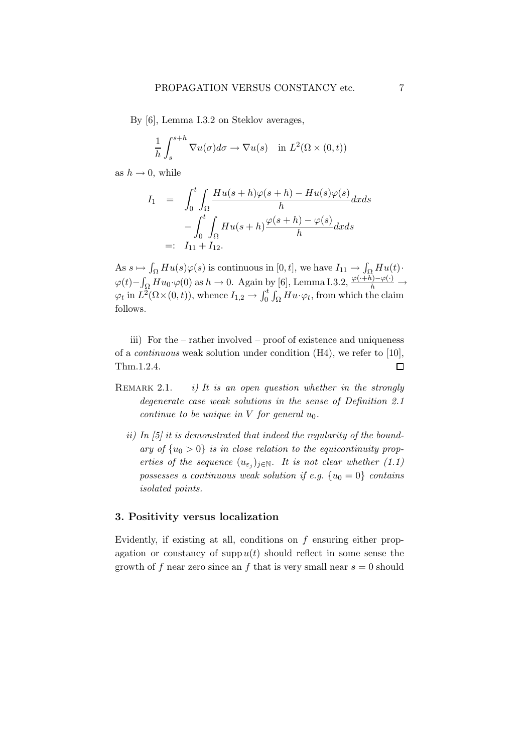By [6], Lemma I.3.2 on Steklov averages,

$$
\frac{1}{h} \int_{s}^{s+h} \nabla u(\sigma) d\sigma \to \nabla u(s) \quad \text{in } L^{2}(\Omega \times (0,t))
$$

as  $h \to 0$ , while

$$
I_1 = \int_0^t \int_{\Omega} \frac{Hu(s+h)\varphi(s+h) - Hu(s)\varphi(s)}{h} dx ds
$$
  

$$
- \int_0^t \int_{\Omega} Hu(s+h) \frac{\varphi(s+h) - \varphi(s)}{h} dx ds
$$
  

$$
=: I_{11} + I_{12}.
$$

As  $s \mapsto \int_{\Omega} Hu(s)\varphi(s)$  is continuous in  $[0,t]$ , we have  $I_{11} \to \int_{\Omega}Hu(t)$ .  $\varphi(t) - \int_{\Omega} H u_0 \cdot \varphi(0)$  as  $h \to 0$ . Again by [6], Lemma I.3.2,  $\frac{\varphi(\cdot+h) - \varphi(\cdot)}{h} \to$  $\varphi_t$  in  $L^2(\Omega \times (0,t))$ , whence  $I_{1,2} \to \int_0^t \int_{\Omega} Hu \cdot \varphi_t$ , from which the claim follows.

iii) For the – rather involved – proof of existence and uniqueness of a continuous weak solution under condition (H4), we refer to [10], Thm.1.2.4.  $\Box$ 

- REMARK 2.1. i) It is an open question whether in the strongly degenerate case weak solutions in the sense of Definition 2.1 continue to be unique in  $V$  for general  $u_0$ .
	- ii) In  $[5]$  it is demonstrated that indeed the regularity of the boundary of  $\{u_0 > 0\}$  is in close relation to the equicontinuity properties of the sequence  $(u_{\varepsilon_j})_{j\in\mathbb{N}}$ . It is not clear whether (1.1) possesses a continuous weak solution if e.g.  $\{u_0 = 0\}$  contains isolated points.

#### 3. Positivity versus localization

Evidently, if existing at all, conditions on  $f$  ensuring either propagation or constancy of supp  $u(t)$  should reflect in some sense the growth of f near zero since an f that is very small near  $s = 0$  should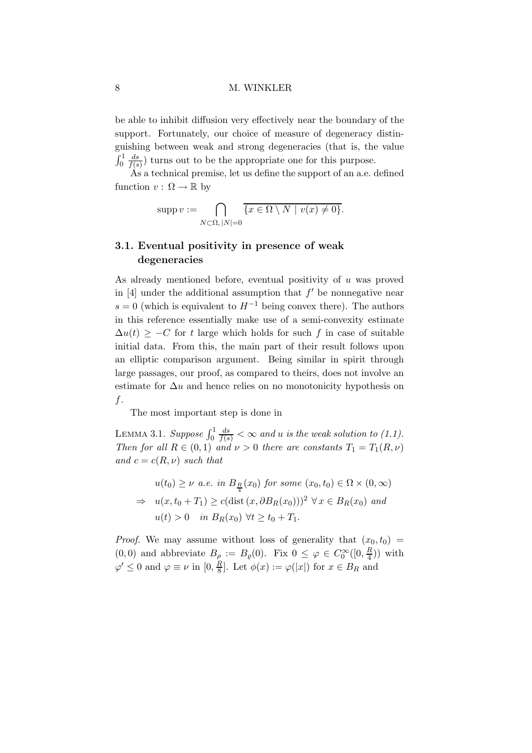be able to inhibit diffusion very effectively near the boundary of the support. Fortunately, our choice of measure of degeneracy distinguishing between weak and strong degeneracies (that is, the value  $\int_0^1$  $\,ds$  $\frac{ds}{f(s)}$  turns out to be the appropriate one for this purpose.

As a technical premise, let us define the support of an a.e. defined function  $v : \Omega \to \mathbb{R}$  by

$$
supp v := \bigcap_{N \subset \Omega, |N| = 0} \overline{\{x \in \Omega \setminus N \mid v(x) \neq 0\}}.
$$

## 3.1. Eventual positivity in presence of weak degeneracies

As already mentioned before, eventual positivity of u was proved in  $[4]$  under the additional assumption that  $f'$  be nonnegative near s = 0 (which is equivalent to  $H^{-1}$  being convex there). The authors in this reference essentially make use of a semi-convexity estimate  $\Delta u(t)$  > −C for t large which holds for such f in case of suitable initial data. From this, the main part of their result follows upon an elliptic comparison argument. Being similar in spirit through large passages, our proof, as compared to theirs, does not involve an estimate for  $\Delta u$  and hence relies on no monotonicity hypothesis on  $f$ .

The most important step is done in

LEMMA 3.1. Suppose  $\int_0^1$  $\frac{ds}{f(s)} < \infty$  and u is the weak solution to (1.1). Then for all  $R \in (0,1)$  and  $\nu > 0$  there are constants  $T_1 = T_1(R,\nu)$ and  $c = c(R, \nu)$  such that

$$
u(t_0) \ge \nu \ a.e. \ in \ B_R(x_0) \ for \ some \ (x_0, t_0) \in \Omega \times (0, \infty)
$$
  
\n
$$
\Rightarrow \ u(x, t_0 + T_1) \ge c(\text{dist}(x, \partial B_R(x_0)))^2 \ \forall \, x \in B_R(x_0) \ and
$$
  
\n
$$
u(t) > 0 \quad \text{in } B_R(x_0) \ \forall t \ge t_0 + T_1.
$$

*Proof.* We may assume without loss of generality that  $(x_0, t_0)$  =  $(0,0)$  and abbreviate  $B_\rho := B_\rho(0)$ . Fix  $0 \leq \varphi \in C_0^\infty([0, \frac{R}{4}])$  $\frac{R}{4})$ ) with  $\varphi' \leq 0$  and  $\varphi \equiv \nu$  in  $[0, \frac{R}{8}]$  $\frac{R}{8}$ . Let  $\phi(x) := \varphi(|x|)$  for  $x \in B_R$  and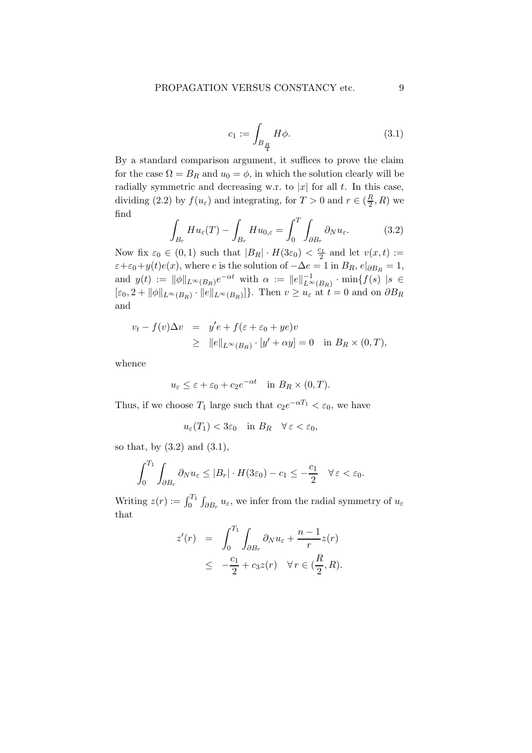$$
c_1 := \int_{B_{\frac{R}{4}}} H\phi. \tag{3.1}
$$

By a standard comparison argument, it suffices to prove the claim for the case  $\Omega = B_R$  and  $u_0 = \phi$ , in which the solution clearly will be radially symmetric and decreasing w.r. to  $|x|$  for all t. In this case, dividing (2.2) by  $f(u_{\varepsilon})$  and integrating, for  $T > 0$  and  $r \in (\frac{R}{2})$  $\frac{R}{2}, R$ ) we find  $\overline{a}$ 

$$
\int_{B_r} H u_{\varepsilon}(T) - \int_{B_r} H u_{0,\varepsilon} = \int_0^T \int_{\partial B_r} \partial_N u_{\varepsilon}.
$$
\n(3.2)

Now fix  $\varepsilon_0 \in (0,1)$  such that  $|B_R| \cdot H(3\varepsilon_0) < \frac{c_1}{2}$  and let  $v(x,t) :=$  $\varepsilon+\varepsilon_0+y(t)e(x)$ , where e is the solution of  $-\Delta e=1$  in  $B_R$ ,  $e|_{\partial B_R}=1$ , and  $y(t) := ||\phi||_{L^{\infty}(B_R)}e^{-\alpha t}$  with  $\alpha := ||e||_{L^{\infty}(B_R)}^{-1} \cdot \min\{f(s) | s \in$  $[\varepsilon_0, 2 + ||\phi||_{L^{\infty}(B_R)} \cdot ||e||_{L^{\infty}(B_R)}]$ . Then  $v \geq u_{\varepsilon}$  at  $t = 0$  and on  $\partial B_R$ and

$$
v_t - f(v)\Delta v = y'e + f(\varepsilon + \varepsilon_0 + ye)v
$$
  
\n
$$
\geq ||e||_{L^{\infty}(B_R)} \cdot [y' + \alpha y] = 0 \text{ in } B_R \times (0, T),
$$

whence

$$
u_{\varepsilon} \leq \varepsilon + \varepsilon_0 + c_2 e^{-\alpha t} \quad \text{in } B_R \times (0, T).
$$

Thus, if we choose  $T_1$  large such that  $c_2e^{-\alpha T_1} < \varepsilon_0$ , we have

$$
u_{\varepsilon}(T_1) < 3\varepsilon_0 \quad \text{in } B_R \quad \forall \, \varepsilon < \varepsilon_0,
$$

so that, by (3.2) and (3.1),

$$
\int_0^{T_1} \int_{\partial B_r} \partial_N u_{\varepsilon} \le |B_r| \cdot H(3\varepsilon_0) - c_1 \le -\frac{c_1}{2} \quad \forall \, \varepsilon < \varepsilon_0.
$$

Writing  $z(r) := \int_0^{T_1} \int_{\partial B_r} u_\varepsilon$ , we infer from the radial symmetry of  $u_\varepsilon$ that

$$
z'(r) = \int_0^{T_1} \int_{\partial B_r} \partial_N u_{\varepsilon} + \frac{n-1}{r} z(r)
$$
  
 
$$
\leq -\frac{c_1}{2} + c_3 z(r) \quad \forall r \in (\frac{R}{2}, R).
$$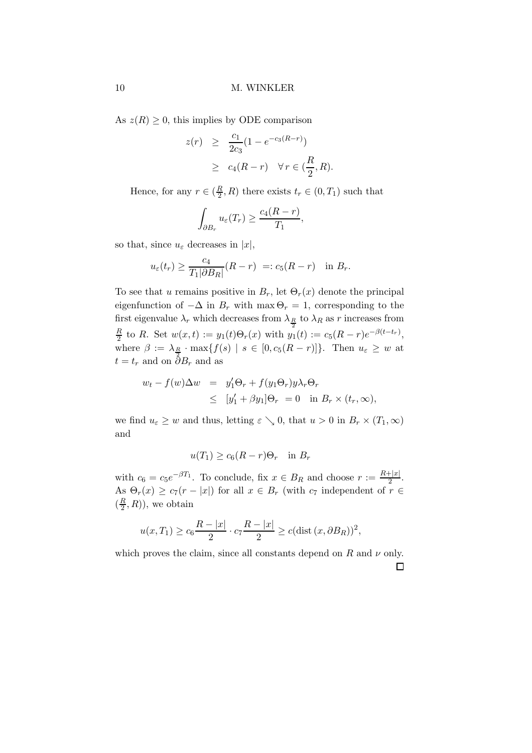As  $z(R) \geq 0$ , this implies by ODE comparison

$$
z(r) \geq \frac{c_1}{2c_3}(1 - e^{-c_3(R-r)})
$$
  
 
$$
\geq c_4(R-r) \quad \forall r \in (\frac{R}{2}, R).
$$

Hence, for any  $r \in (\frac{R}{2})$  $\frac{R}{2}$ , R) there exists  $t_r \in (0, T_1)$  such that

$$
\int_{\partial B_r} u_{\varepsilon}(T_r) \geq \frac{c_4(R-r)}{T_1},
$$

so that, since  $u_{\varepsilon}$  decreases in |x|,

$$
u_{\varepsilon}(t_r) \ge \frac{c_4}{T_1|\partial B_R|}(R-r) =: c_5(R-r) \text{ in } B_r.
$$

To see that u remains positive in  $B_r$ , let  $\Theta_r(x)$  denote the principal eigenfunction of  $-\Delta$  in  $B_r$  with max  $\Theta_r = 1$ , corresponding to the first eigenvalue  $\lambda_r$  which decreases from  $\lambda_{R}$  to  $\lambda_R$  as r increases from R  $\frac{R}{2}$  to R. Set  $w(x,t) := y_1(t)\Theta_r(x)$  with  $y_1(t) := c_5(R-r)e^{-\beta(t-t_r)},$ where  $\beta := \lambda_{\underline{R}} \cdot \max\{f(s) \mid s \in [0, c_5(R-r)]\}$ . Then  $u_{\varepsilon} \geq w$  at  $t = t_r$  and on  $\stackrel{2}{\partial} B_r$  and as

$$
w_t - f(w)\Delta w = y'_1 \Theta_r + f(y_1 \Theta_r)y\lambda_r \Theta_r
$$
  
\n
$$
\leq [y'_1 + \beta y_1] \Theta_r = 0 \text{ in } B_r \times (t_r, \infty),
$$

we find  $u_{\varepsilon} \geq w$  and thus, letting  $\varepsilon \searrow 0$ , that  $u > 0$  in  $B_r \times (T_1, \infty)$ and

$$
u(T_1) \ge c_6(R - r)\Theta_r \quad \text{in } B_r
$$

with  $c_6 = c_5 e^{-\beta T_1}$ . To conclude, fix  $x \in B_R$  and choose  $r := \frac{R+|x|}{2}$  $rac{1}{2}$ . As  $\Theta_r(x) \geq c_7(r-|x|)$  for all  $x \in B_r$  (with  $c_7$  independent of  $r \in$  $\left(\frac{R}{2}\right)$  $(\frac{R}{2},R)$ , we obtain

$$
u(x,T_1) \ge c_6 \frac{R-|x|}{2} \cdot c_7 \frac{R-|x|}{2} \ge c(\text{dist}(x,\partial B_R))^2,
$$

which proves the claim, since all constants depend on R and  $\nu$  only.  $\Box$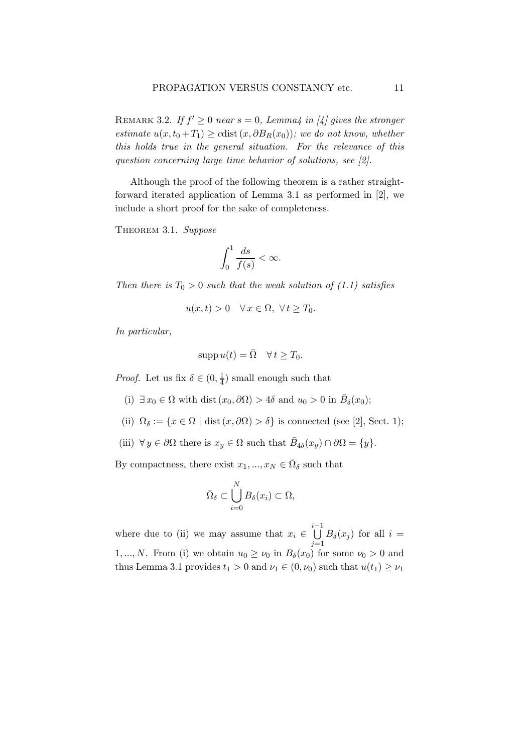REMARK 3.2. If  $f' \geq 0$  near  $s = 0$ , Lemma4 in [4] gives the stronger estimate  $u(x,t_0+T_1) \geq c \text{dist}(x,\partial B_R(x_0))$ ; we do not know, whether this holds true in the general situation. For the relevance of this question concerning large time behavior of solutions, see [2].

Although the proof of the following theorem is a rather straightforward iterated application of Lemma 3.1 as performed in [2], we include a short proof for the sake of completeness.

THEOREM 3.1. Suppose

$$
\int_0^1 \frac{ds}{f(s)} < \infty.
$$

Then there is  $T_0 > 0$  such that the weak solution of (1.1) satisfies

$$
u(x,t) > 0 \quad \forall x \in \Omega, \ \forall t \ge T_0.
$$

In particular,

$$
supp u(t) = \overline{\Omega} \quad \forall t \ge T_0.
$$

*Proof.* Let us fix  $\delta \in (0, \frac{1}{4})$  $\frac{1}{4}$ ) small enough such that

- (i)  $\exists x_0 \in \Omega$  with dist  $(x_0, \partial \Omega) > 4\delta$  and  $u_0 > 0$  in  $\overline{B}_\delta(x_0)$ ;
- (ii)  $\Omega_{\delta} := \{x \in \Omega \mid \text{dist}(x,\partial \Omega) > \delta\}$  is connected (see [2], Sect. 1);
- (iii)  $\forall y \in \partial\Omega$  there is  $x_y \in \Omega$  such that  $\bar{B}_{4\delta}(x_y) \cap \partial\Omega = \{y\}.$

By compactness, there exist  $x_1, ..., x_N \in \overline{\Omega}_{\delta}$  such that

$$
\bar{\Omega}_{\delta}\subset \bigcup_{i=0}^N B_{\delta}(x_i)\subset \Omega,
$$

where due to (ii) we may assume that  $x_i \in$ i−1<br>∪  $j=1$  $B_{\delta}(x_j)$  for all  $i =$ 1,..., N. From (i) we obtain  $u_0 \geq \nu_0$  in  $B_\delta(x_0)$  for some  $\nu_0 > 0$  and thus Lemma 3.1 provides  $t_1 > 0$  and  $\nu_1 \in (0, \nu_0)$  such that  $u(t_1) \geq \nu_1$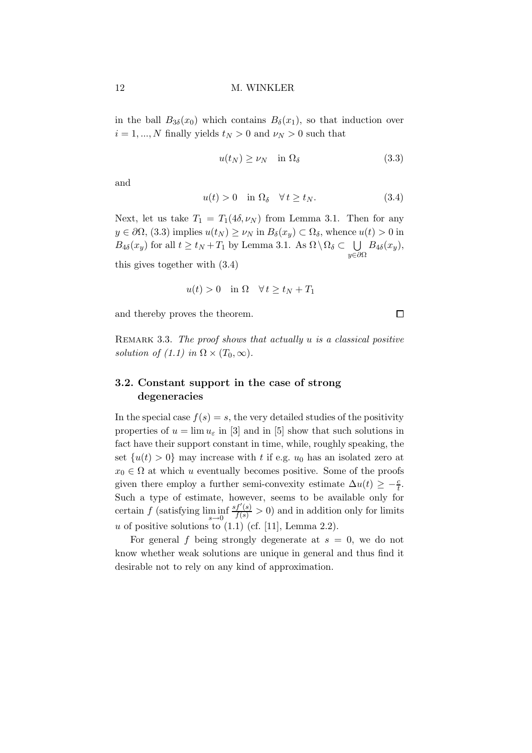in the ball  $B_{3\delta}(x_0)$  which contains  $B_{\delta}(x_1)$ , so that induction over  $i = 1, ..., N$  finally yields  $t_N > 0$  and  $\nu_N > 0$  such that

$$
u(t_N) \ge \nu_N \quad \text{in } \Omega_\delta \tag{3.3}
$$

and

$$
u(t) > 0 \quad \text{in } \Omega_{\delta} \quad \forall \, t \ge t_N. \tag{3.4}
$$

Next, let us take  $T_1 = T_1(4\delta, \nu_N)$  from Lemma 3.1. Then for any  $y \in \partial\Omega$ , (3.3) implies  $u(t_N) \geq \nu_N$  in  $B_\delta(x_y) \subset \Omega_\delta$ , whence  $u(t) > 0$  in  $B_{4\delta}(x_y)$  for all  $t \ge t_N + T_1$  by Lemma 3.1. As  $\Omega \setminus \Omega_{\delta} \subset \bigcup B_{4\delta}(x_y)$ ,  $u \in \partial \Omega$ 

this gives together with (3.4)

$$
u(t) > 0 \quad \text{in } \Omega \quad \forall \, t \ge t_N + T_1
$$

and thereby proves the theorem.

 $\Box$ 

REMARK 3.3. The proof shows that actually  $u$  is a classical positive solution of (1.1) in  $\Omega \times (T_0, \infty)$ .

## 3.2. Constant support in the case of strong degeneracies

In the special case  $f(s) = s$ , the very detailed studies of the positivity properties of  $u = \lim u_{\varepsilon}$  in [3] and in [5] show that such solutions in fact have their support constant in time, while, roughly speaking, the set  $\{u(t) > 0\}$  may increase with t if e.g.  $u_0$  has an isolated zero at  $x_0 \in \Omega$  at which u eventually becomes positive. Some of the proofs given there employ a further semi-convexity estimate  $\Delta u(t) \geq -\frac{c}{t}$ . Such a type of estimate, however, seems to be available only for certain  $f$  (satisfying  $\liminf_{s\to 0}$  $\frac{sf'(s)}{f(s)} > 0$  and in addition only for limits u of positive solutions to  $(1.1)$  (cf. [11], Lemma 2.2).

For general f being strongly degenerate at  $s = 0$ , we do not know whether weak solutions are unique in general and thus find it desirable not to rely on any kind of approximation.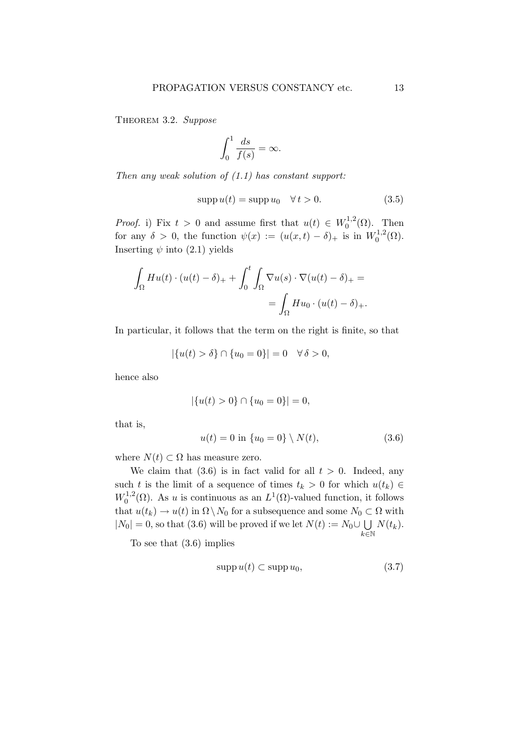THEOREM 3.2. Suppose

$$
\int_0^1 \frac{ds}{f(s)} = \infty.
$$

Then any weak solution of  $(1.1)$  has constant support:

$$
supp u(t) = supp u_0 \quad \forall t > 0.
$$
\n(3.5)

*Proof.* i) Fix  $t > 0$  and assume first that  $u(t) \in W_0^{1,2}$  $\bigcap_{0}^{1,2}(\Omega)$ . Then for any  $\delta > 0$ , the function  $\psi(x) := (u(x,t) - \delta)_+$  is in  $W_0^{1,2}$  $_{0}^{1,2}(\Omega).$ Inserting  $\psi$  into (2.1) yields

$$
\int_{\Omega} H u(t) \cdot (u(t) - \delta)_{+} + \int_{0}^{t} \int_{\Omega} \nabla u(s) \cdot \nabla (u(t) - \delta)_{+} =
$$
  
= 
$$
\int_{\Omega} H u_0 \cdot (u(t) - \delta)_{+}.
$$

In particular, it follows that the term on the right is finite, so that

$$
|\{u(t) > \delta\} \cap \{u_0 = 0\}| = 0 \quad \forall \delta > 0,
$$

hence also

$$
|\{u(t) > 0\} \cap \{u_0 = 0\}| = 0,
$$

that is,

$$
u(t) = 0 \text{ in } \{u_0 = 0\} \setminus N(t), \tag{3.6}
$$

where  $N(t) \subset \Omega$  has measure zero.

We claim that  $(3.6)$  is in fact valid for all  $t > 0$ . Indeed, any such t is the limit of a sequence of times  $t_k > 0$  for which  $u(t_k) \in$  $W_0^{1,2}$  $L_0^{1,2}(\Omega)$ . As u is continuous as an  $L^1(\Omega)$ -valued function, it follows that  $u(t_k) \to u(t)$  in  $\Omega \setminus N_0$  for a subsequence and some  $N_0 \subset \Omega$  with  $|N_0| = 0$ , so that (3.6) will be proved if we let  $N(t) := N_0 \cup \bigcup$  $k\bar{\in}\mathbb{N}$  $N(t_k)$ .

To see that (3.6) implies

$$
supp u(t) \subset supp u_0,
$$
\n(3.7)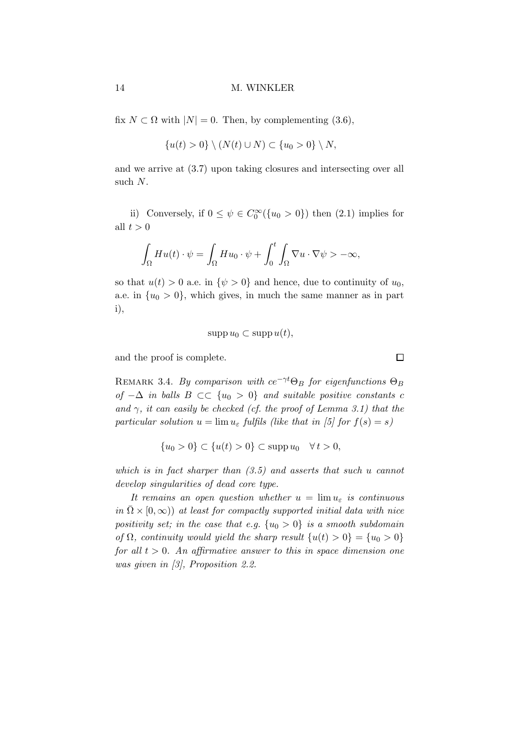fix  $N \subset \Omega$  with  $|N| = 0$ . Then, by complementing (3.6),

$$
\{u(t) > 0\} \setminus (N(t) \cup N) \subset \{u_0 > 0\} \setminus N,
$$

and we arrive at (3.7) upon taking closures and intersecting over all such N.

ii) Conversely, if  $0 \le \psi \in C_0^{\infty}(\{u_0 > 0\})$  then  $(2.1)$  implies for all  $t > 0$ 

$$
\int_{\Omega} H u(t) \cdot \psi = \int_{\Omega} H u_0 \cdot \psi + \int_0^t \int_{\Omega} \nabla u \cdot \nabla \psi > -\infty,
$$

so that  $u(t) > 0$  a.e. in  $\{\psi > 0\}$  and hence, due to continuity of  $u_0$ , a.e. in  $\{u_0 > 0\}$ , which gives, in much the same manner as in part i),

$$
supp u_0 \subset supp u(t),
$$

and the proof is complete.

REMARK 3.4. By comparison with  $ce^{-\gamma t}\Theta_B$  for eigenfunctions  $\Theta_B$ of  $-\Delta$  in balls  $B \subset \subset \{u_0 > 0\}$  and suitable positive constants c and  $\gamma$ , it can easily be checked (cf. the proof of Lemma 3.1) that the particular solution  $u = \lim u_{\varepsilon}$  fulfils (like that in [5] for  $f(s) = s$ )

$$
\{u_0 > 0\} \subset \{u(t) > 0\} \subset \mathrm{supp} \, u_0 \quad \forall \, t > 0,
$$

which is in fact sharper than (3.5) and asserts that such u cannot develop singularities of dead core type.

It remains an open question whether  $u = \lim u_{\varepsilon}$  is continuous in  $\overline{\Omega} \times [0,\infty)$  at least for compactly supported initial data with nice positivity set; in the case that e.g.  $\{u_0 > 0\}$  is a smooth subdomain of  $\Omega$ , continuity would yield the sharp result  $\{u(t) > 0\} = \{u_0 > 0\}$ for all  $t > 0$ . An affirmative answer to this in space dimension one was given in [3], Proposition 2.2.

 $\Box$